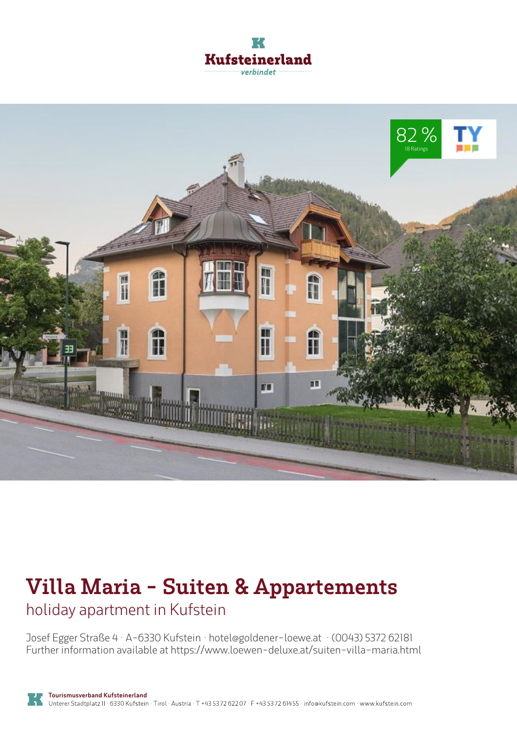



# **Villa Maria - Suiten & Appartements**

holiday apartment in Kufstein

Josef Egger Straße 4 · A-6330 Kufstein · **hotel@goldener-loewe.at** · **(0043) 5372 62181** Further information available at **https://www.loewen-deluxe.at/suiten-villa-maria.html**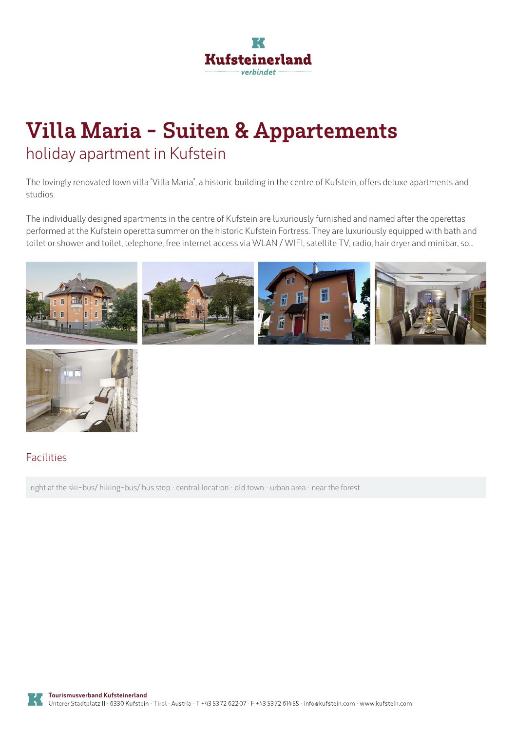

# **Villa Maria - Suiten & Appartements** holiday apartment in Kufstein

The lovingly renovated town villa "Villa Maria", a historic building in the centre of Kufstein, offers deluxe apartments and studios.

The individually designed apartments in the centre of Kufstein are luxuriously furnished and named after the operettas performedat the Kufstein operetta summer on the historic Kufstein Fortress. They are luxuriously equipped with bath and toilet or shower and toilet, telephone, free internet access via WLAN / WIFI, satellite TV, radio, hair dryer and minibar, so...





#### Facilities

right at the ski-bus/ hiking-bus/ bus stop · central location · old town · urban area · near the forest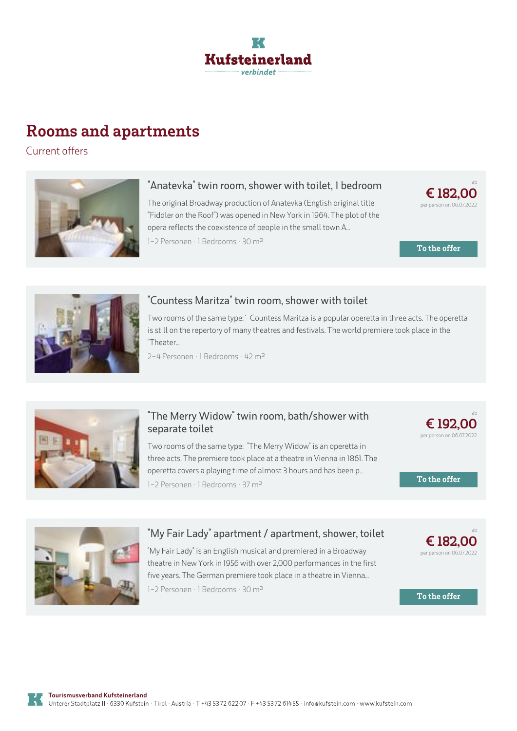

## **Rooms and apartments**

Current offers



#### **"Anatevka" twin room, shower with toilet, 1 bedroom**

The original Broadway production of Anatevka (English original title "Fiddler on the Roof") was opened in New York in 1964. The plot of the opera reflects the coexistence of people in the small town A...

1-2 Personen · 1 Bedrooms · 30 m<sup>2</sup>



**To the offer**



#### **["Countess](https://www.kufstein.com/en/book/kufstein/holiday-apartment/villa-maria-suiten-appartements.html?utm_medium=PDF&utm_campaign=Vermieter-Prospekt&utm_source=Villa+Maria+-+Suiten+%26+Appartements) Maritza" twin room, shower with toilet**

Two rooms of the same type:´ Countess Maritza is <sup>a</sup> popular operetta in three acts. The operetta is still on the repertory of many theatres and festivals. The world premiere took place in the "Theater...

2-4 Personen · 1 Bedrooms · 42 <sup>m</sup><sup>²</sup>



### **"The Merry Widow" twin room, [bath/shower](https://www.kufstein.com/en/book/kufstein/holiday-apartment/villa-maria-suiten-appartements.html?utm_medium=PDF&utm_campaign=Vermieter-Prospekt&utm_source=Villa+Maria+-+Suiten+%26+Appartements) with separate toilet**

Two rooms of the same type: "The Merry Widow" is an operetta in three acts. The premiere took place at <sup>a</sup> theatre in Vienna in 1861. The operetta covers <sup>a</sup> playing time of almost 3 hours and has been p... 1-2 Personen · 1 Bedrooms · 37 <sup>m</sup><sup>²</sup>



**To the offer**



### **"My Fair Lady" apartment / [apartment,](https://www.kufstein.com/en/book/kufstein/holiday-apartment/villa-maria-suiten-appartements.html?utm_medium=PDF&utm_campaign=Vermieter-Prospekt&utm_source=Villa+Maria+-+Suiten+%26+Appartements) shower, toilet**

"My Fair Lady" is an English musical and premiered in <sup>a</sup> Broadway theatre in New York in 1956 with over 2,000 performances in the first five years. The German premiere took place in <sup>a</sup> theatre in Vienna...

1-2 Personen · 1 Bedrooms · 30 <sup>m</sup><sup>²</sup>



ab

**To the offer**